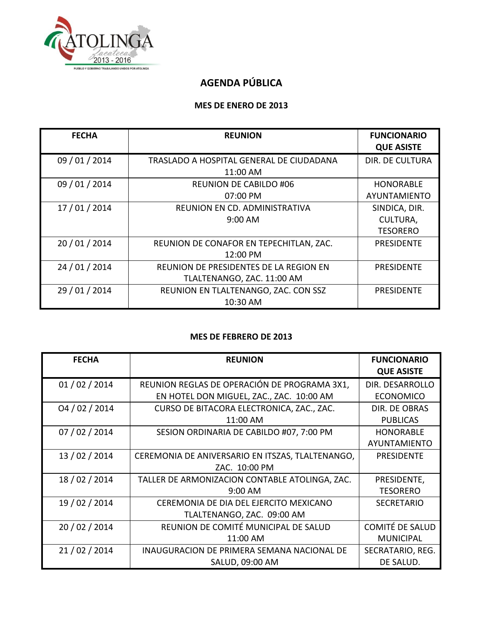

## **AGENDA PÚBLICA**

#### **MES DE ENERO DE 2013**

| <b>FECHA</b>   | <b>REUNION</b>                           | <b>FUNCIONARIO</b><br><b>QUE ASISTE</b> |
|----------------|------------------------------------------|-----------------------------------------|
| 09 / 01 / 2014 | TRASLADO A HOSPITAL GENERAL DE CIUDADANA | <b>DIR. DE CULTURA</b>                  |
|                | 11:00 AM                                 |                                         |
| 09 / 01 / 2014 | <b>REUNION DE CABILDO #06</b>            | <b>HONORABLE</b>                        |
|                | 07:00 PM                                 | AYUNTAMIENTO                            |
| 17 / 01 / 2014 | REUNION EN CD. ADMINISTRATIVA            | SINDICA, DIR.                           |
|                | 9:00 AM                                  | CULTURA,                                |
|                |                                          | <b>TESORERO</b>                         |
| 20 / 01 / 2014 | REUNION DE CONAFOR EN TEPECHITLAN, ZAC.  | <b>PRESIDENTE</b>                       |
|                | 12:00 PM                                 |                                         |
| 24 / 01 / 2014 | REUNION DE PRESIDENTES DE LA REGION EN   | <b>PRESIDENTE</b>                       |
|                | TLALTENANGO, ZAC. 11:00 AM               |                                         |
| 29 / 01 / 2014 | REUNION EN TLALTENANGO, ZAC. CON SSZ     | <b>PRESIDENTE</b>                       |
|                | 10:30 AM                                 |                                         |

#### **MES DE FEBRERO DE 2013**

| <b>FECHA</b>   | <b>REUNION</b>                                   | <b>FUNCIONARIO</b><br><b>QUE ASISTE</b> |
|----------------|--------------------------------------------------|-----------------------------------------|
| 01/02/2014     | REUNION REGLAS DE OPERACIÓN DE PROGRAMA 3X1,     | DIR. DESARROLLO                         |
|                | EN HOTEL DON MIGUEL, ZAC., ZAC. 10:00 AM         | <b>ECONOMICO</b>                        |
| 04/02/2014     | CURSO DE BITACORA ELECTRONICA, ZAC., ZAC.        | DIR. DE OBRAS                           |
|                | 11:00 AM                                         | <b>PUBLICAS</b>                         |
| 07/02/2014     | SESION ORDINARIA DE CABILDO #07, 7:00 PM         | <b>HONORABLE</b>                        |
|                |                                                  | AYUNTAMIENTO                            |
| 13 / 02 / 2014 | CEREMONIA DE ANIVERSARIO EN ITSZAS, TLALTENANGO, | <b>PRESIDENTE</b>                       |
|                | ZAC. 10:00 PM                                    |                                         |
| 18 / 02 / 2014 | TALLER DE ARMONIZACION CONTABLE ATOLINGA, ZAC.   | PRESIDENTE,                             |
|                | $9:00$ AM                                        | <b>TESORERO</b>                         |
| 19 / 02 / 2014 | CEREMONIA DE DIA DEL EJERCITO MEXICANO           | <b>SECRETARIO</b>                       |
|                | TLALTENANGO, ZAC. 09:00 AM                       |                                         |
| 20 / 02 / 2014 | REUNION DE COMITÉ MUNICIPAL DE SALUD             | <b>COMITÉ DE SALUD</b>                  |
|                | 11:00 AM                                         | <b>MUNICIPAL</b>                        |
| 21/02/2014     | INAUGURACION DE PRIMERA SEMANA NACIONAL DE       | SECRATARIO, REG.                        |
|                | SALUD, 09:00 AM                                  | DE SALUD.                               |